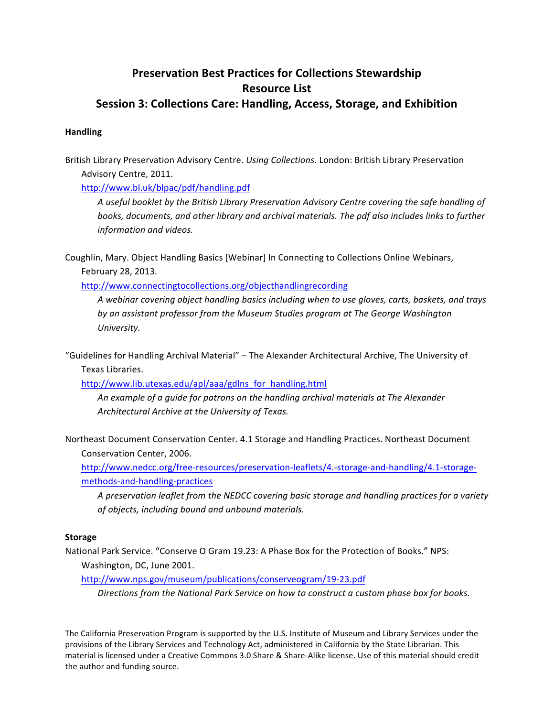## **Preservation Best Practices for Collections Stewardship Resource List Session 3: Collections Care: Handling, Access, Storage, and Exhibition**

## **Handling**

British Library Preservation Advisory Centre. *Using Collections*. London: British Library Preservation Advisory Centre, 2011.

http://www.bl.uk/blpac/pdf/handling.pdf

A useful booklet by the British Library Preservation Advisory Centre covering the safe handling of books, documents, and other library and archival materials. The pdf also includes links to further *information and videos.* 

Coughlin, Mary. Object Handling Basics [Webinar] In Connecting to Collections Online Webinars, February 28, 2013.

http://www.connectingtocollections.org/objecthandlingrecording

*A webinar covering object handling basics including when to use gloves, carts, baskets, and trays*  by an assistant professor from the Museum Studies program at The George Washington *University.*

"Guidelines for Handling Archival Material" – The Alexander Architectural Archive, The University of Texas Libraries.

http://www.lib.utexas.edu/apl/aaa/gdlns\_for\_handling.html

An example of a guide for patrons on the handling archival materials at The Alexander Architectural Archive at the University of Texas.

Northeast Document Conservation Center. 4.1 Storage and Handling Practices. Northeast Document Conservation Center, 2006.

http://www.nedcc.org/free-resources/preservation-leaflets/4.-storage-and-handling/4.1-storagemethods-and-handling-practices

A preservation leaflet from the NEDCC covering basic storage and handling practices for a variety *of objects, including bound and unbound materials.* 

## **Storage**

National Park Service. "Conserve O Gram 19.23: A Phase Box for the Protection of Books." NPS: Washington, DC, June 2001.

http://www.nps.gov/museum/publications/conserveogram/19-23.pdf

Directions from the National Park Service on how to construct a custom phase box for books.

The California Preservation Program is supported by the U.S. Institute of Museum and Library Services under the provisions of the Library Services and Technology Act, administered in California by the State Librarian. This material is licensed under a Creative Commons 3.0 Share & Share-Alike license. Use of this material should credit the author and funding source.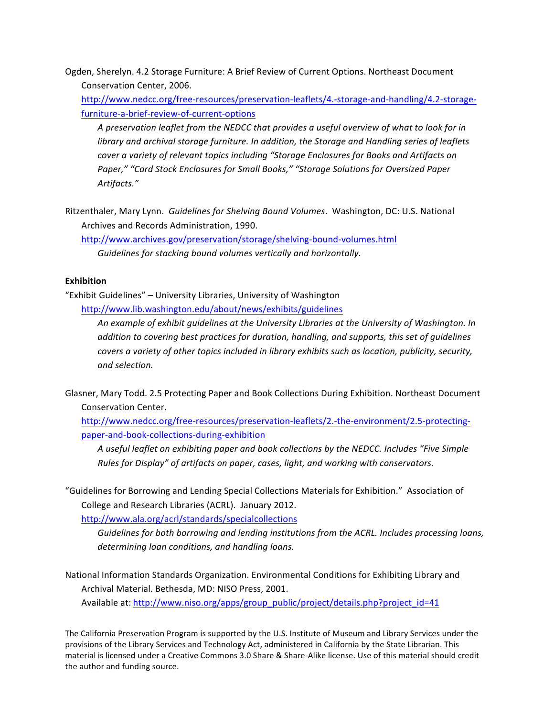Ogden, Sherelyn. 4.2 Storage Furniture: A Brief Review of Current Options. Northeast Document Conservation Center, 2006.

http://www.nedcc.org/free-resources/preservation-leaflets/4.-storage-and-handling/4.2-storagefurniture-a-brief-review-of-current-options

A preservation leaflet from the NEDCC that provides a useful overview of what to look for in *library* and archival storage furniture. In addition, the Storage and Handling series of leaflets *cover a variety of relevant topics including* "Storage Enclosures for Books and Artifacts on Paper," "Card Stock Enclosures for Small Books," "Storage Solutions for Oversized Paper *Artifacts."* 

Ritzenthaler, Mary Lynn. Guidelines for Shelving Bound Volumes. Washington, DC: U.S. National Archives and Records Administration, 1990.

http://www.archives.gov/preservation/storage/shelving-bound-volumes.html Guidelines for stacking bound volumes vertically and horizontally.

## **Exhibition**

"Exhibit Guidelines" – University Libraries, University of Washington http://www.lib.washington.edu/about/news/exhibits/guidelines

> An example of exhibit guidelines at the University Libraries at the University of Washington. In *addition* to covering best practices for duration, handling, and supports, this set of guidelines *covers a variety of other topics included in library exhibits such as location, publicity, security, and selection.*

Glasner, Mary Todd. 2.5 Protecting Paper and Book Collections During Exhibition. Northeast Document Conservation Center. 

http://www.nedcc.org/free-resources/preservation-leaflets/2.-the-environment/2.5-protectingpaper-and-book-collections-during-exhibition

A useful leaflet on exhibiting paper and book collections by the NEDCC. Includes "Five Simple *Rules for Display"* of artifacts on paper, cases, light, and working with conservators.

"Guidelines for Borrowing and Lending Special Collections Materials for Exhibition." Association of College and Research Libraries (ACRL). January 2012.

http://www.ala.org/acrl/standards/specialcollections

Guidelines for both borrowing and lending institutions from the ACRL. Includes processing loans, determining loan conditions, and handling loans.

National Information Standards Organization. Environmental Conditions for Exhibiting Library and Archival Material. Bethesda, MD: NISO Press, 2001.

Available at: http://www.niso.org/apps/group\_public/project/details.php?project\_id=41

The California Preservation Program is supported by the U.S. Institute of Museum and Library Services under the provisions of the Library Services and Technology Act, administered in California by the State Librarian. This material is licensed under a Creative Commons 3.0 Share & Share-Alike license. Use of this material should credit the author and funding source.